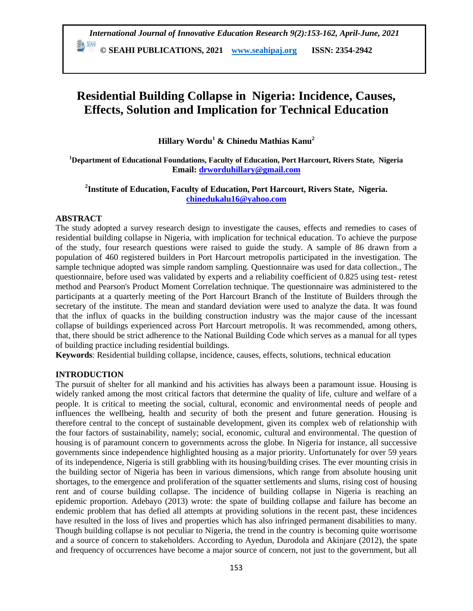**© SEAHI PUBLICATIONS, 2021 [www.seahipaj.org](http://www.seahipaj.org/) ISSN: 2354-2942**

# **Residential Building Collapse in Nigeria: Incidence, Causes, Effects, Solution and Implication for Technical Education**

**Hillary Wordu<sup>1</sup> & Chinedu Mathias Kanu<sup>2</sup>**

**<sup>1</sup>Department of Educational Foundations, Faculty of Education, Port Harcourt, Rivers State, Nigeria Email: [drworduhillary@gmail.com](mailto:drworduhillary@gmail.com)**

# **2 Institute of Education, Faculty of Education, Port Harcourt, Rivers State, Nigeria. [chinedukalu16@yahoo.com](mailto:chinedukalu16@yahoo.com)**

## **ABSTRACT**

The study adopted a survey research design to investigate the causes, effects and remedies to cases of residential building collapse in Nigeria, with implication for technical education. To achieve the purpose of the study, four research questions were raised to guide the study. A sample of 86 drawn from a population of 460 registered builders in Port Harcourt metropolis participated in the investigation. The sample technique adopted was simple random sampling. Questionnaire was used for data collection., The questionnaire, before used was validated by experts and a reliability coefficient of 0.825 using test- retest method and Pearson's Product Moment Correlation technique. The questionnaire was administered to the participants at a quarterly meeting of the Port Harcourt Branch of the Institute of Builders through the secretary of the institute. The mean and standard deviation were used to analyze the data. It was found that the influx of quacks in the building construction industry was the major cause of the incessant collapse of buildings experienced across Port Harcourt metropolis. It was recommended, among others, that, there should be strict adherence to the National Building Code which serves as a manual for all types of building practice including residential buildings.

**Keywords**: Residential building collapse, incidence, causes, effects, solutions, technical education

## **INTRODUCTION**

The pursuit of shelter for all mankind and his activities has always been a paramount issue. Housing is widely ranked among the most critical factors that determine the quality of life, culture and welfare of a people. It is critical to meeting the social, cultural, economic and environmental needs of people and influences the wellbeing, health and security of both the present and future generation. Housing is therefore central to the concept of sustainable development, given its complex web of relationship with the four factors of sustainability, namely; social, economic, cultural and environmental. The question of housing is of paramount concern to governments across the globe. In Nigeria for instance, all successive governments since independence highlighted housing as a major priority. Unfortunately for over 59 years of its independence, Nigeria is still grabbling with its housing/building crises. The ever mounting crisis in the building sector of Nigeria has been in various dimensions, which range from absolute housing unit shortages, to the emergence and proliferation of the squatter settlements and slums, rising cost of housing rent and of course building collapse. The incidence of building collapse in Nigeria is reaching an epidemic proportion. Adebayo (2013) wrote: the spate of building collapse and failure has become an endemic problem that has defied all attempts at providing solutions in the recent past, these incidences have resulted in the loss of lives and properties which has also infringed permanent disabilities to many. Though building collapse is not peculiar to Nigeria, the trend in the country is becoming quite worrisome and a source of concern to stakeholders. According to Ayedun, Durodola and Akinjare (2012), the spate and frequency of occurrences have become a major source of concern, not just to the government, but all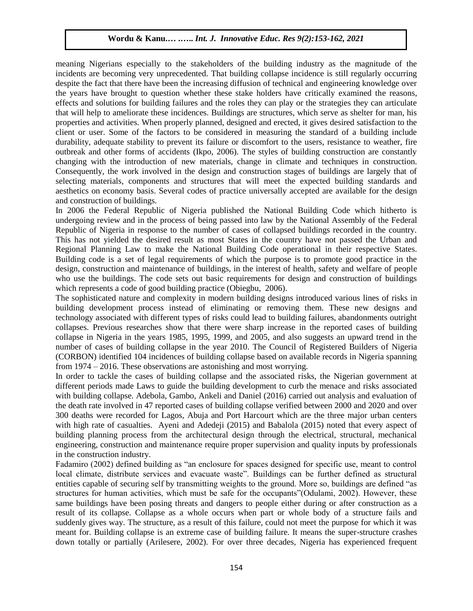meaning Nigerians especially to the stakeholders of the building industry as the magnitude of the incidents are becoming very unprecedented. That building collapse incidence is still regularly occurring despite the fact that there have been the increasing diffusion of technical and engineering knowledge over the years have brought to question whether these stake holders have critically examined the reasons, effects and solutions for building failures and the roles they can play or the strategies they can articulate that will help to ameliorate these incidences. Buildings are structures, which serve as shelter for man, his properties and activities. When properly planned, designed and erected, it gives desired satisfaction to the client or user. Some of the factors to be considered in measuring the standard of a building include durability, adequate stability to prevent its failure or discomfort to the users, resistance to weather, fire outbreak and other forms of accidents (Ikpo, 2006). The styles of building construction are constantly changing with the introduction of new materials, change in climate and techniques in construction. Consequently, the work involved in the design and construction stages of buildings are largely that of selecting materials, components and structures that will meet the expected building standards and aesthetics on economy basis. Several codes of practice universally accepted are available for the design and construction of buildings.

In 2006 the Federal Republic of Nigeria published the National Building Code which hitherto is undergoing review and in the process of being passed into law by the National Assembly of the Federal Republic of Nigeria in response to the number of cases of collapsed buildings recorded in the country. This has not yielded the desired result as most States in the country have not passed the Urban and Regional Planning Law to make the National Building Code operational in their respective States. Building code is a set of legal requirements of which the purpose is to promote good practice in the design, construction and maintenance of buildings, in the interest of health, safety and welfare of people who use the buildings. The code sets out basic requirements for design and construction of buildings which represents a code of good building practice (Obiegbu, 2006).

The sophisticated nature and complexity in modern building designs introduced various lines of risks in building development process instead of eliminating or removing them. These new designs and technology associated with different types of risks could lead to building failures, abandonments outright collapses. Previous researches show that there were sharp increase in the reported cases of building collapse in Nigeria in the years 1985, 1995, 1999, and 2005, and also suggests an upward trend in the number of cases of building collapse in the year 2010. The Council of Registered Builders of Nigeria (CORBON) identified 104 incidences of building collapse based on available records in Nigeria spanning from 1974 – 2016. These observations are astonishing and most worrying.

In order to tackle the cases of building collapse and the associated risks, the Nigerian government at different periods made Laws to guide the building development to curb the menace and risks associated with building collapse. Adebola, Gambo, Ankeli and Daniel (2016) carried out analysis and evaluation of the death rate involved in 47 reported cases of building collapse verified between 2000 and 2020 and over 300 deaths were recorded for Lagos, Abuja and Port Harcourt which are the three major urban centers with high rate of casualties. Ayeni and Adedeji (2015) and Babalola (2015) noted that every aspect of building planning process from the architectural design through the electrical, structural, mechanical engineering, construction and maintenance require proper supervision and quality inputs by professionals in the construction industry.

Fadamiro (2002) defined building as "an enclosure for spaces designed for specific use, meant to control local climate, distribute services and evacuate waste". Buildings can be further defined as structural entities capable of securing self by transmitting weights to the ground. More so, buildings are defined "as structures for human activities, which must be safe for the occupants"(Odulami, 2002). However, these same buildings have been posing threats and dangers to people either during or after construction as a result of its collapse. Collapse as a whole occurs when part or whole body of a structure fails and suddenly gives way. The structure, as a result of this failure, could not meet the purpose for which it was meant for. Building collapse is an extreme case of building failure. It means the super-structure crashes down totally or partially (Arilesere, 2002). For over three decades, Nigeria has experienced frequent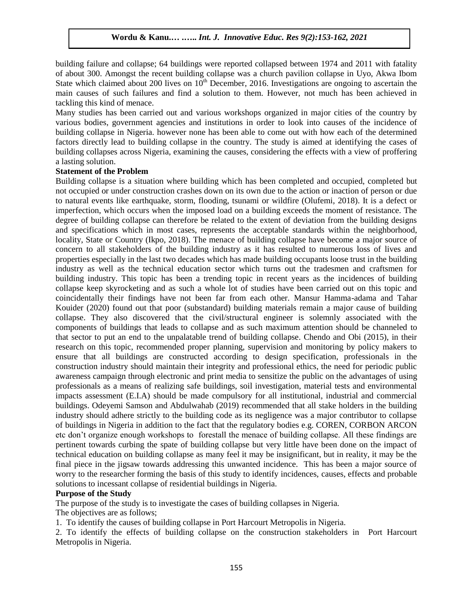building failure and collapse; 64 buildings were reported collapsed between 1974 and 2011 with fatality of about 300. Amongst the recent building collapse was a church pavilion collapse in Uyo, Akwa Ibom State which claimed about 200 lives on  $10<sup>th</sup>$  December, 2016. Investigations are ongoing to ascertain the main causes of such failures and find a solution to them. However, not much has been achieved in tackling this kind of menace.

Many studies has been carried out and various workshops organized in major cities of the country by various bodies, government agencies and institutions in order to look into causes of the incidence of building collapse in Nigeria. however none has been able to come out with how each of the determined factors directly lead to building collapse in the country. The study is aimed at identifying the cases of building collapses across Nigeria, examining the causes, considering the effects with a view of proffering a lasting solution.

#### **Statement of the Problem**

Building collapse is a situation where building which has been completed and occupied, completed but not occupied or under construction crashes down on its own due to the action or inaction of person or due to natural events like earthquake, storm, flooding, tsunami or wildfire (Olufemi, 2018). It is a defect or imperfection, which occurs when the imposed load on a building exceeds the moment of resistance. The degree of building collapse can therefore be related to the extent of deviation from the building designs and specifications which in most cases, represents the acceptable standards within the neighborhood, locality, State or Country (Ikpo, 2018). The menace of building collapse have become a major source of concern to all stakeholders of the building industry as it has resulted to numerous loss of lives and properties especially in the last two decades which has made building occupants loose trust in the building industry as well as the technical education sector which turns out the tradesmen and craftsmen for building industry. This topic has been a trending topic in recent years as the incidences of building collapse keep skyrocketing and as such a whole lot of studies have been carried out on this topic and coincidentally their findings have not been far from each other. Mansur Hamma-adama and Tahar Kouider (2020) found out that poor (substandard) building materials remain a major cause of building collapse. They also discovered that the civil/structural engineer is solemnly associated with the components of buildings that leads to collapse and as such maximum attention should be channeled to that sector to put an end to the unpalatable trend of building collapse. Chendo and Obi (2015), in their research on this topic, recommended proper planning, supervision and monitoring by policy makers to ensure that all buildings are constructed according to design specification, professionals in the construction industry should maintain their integrity and professional ethics, the need for periodic public awareness campaign through electronic and print media to sensitize the public on the advantages of using professionals as a means of realizing safe buildings, soil investigation, material tests and environmental impacts assessment (E.I.A) should be made compulsory for all institutional, industrial and commercial buildings. Odeyemi Samson and Abdulwahab (2019) recommended that all stake holders in the building industry should adhere strictly to the building code as its negligence was a major contributor to collapse of buildings in Nigeria in addition to the fact that the regulatory bodies e.g. COREN, CORBON ARCON etc don't organize enough workshops to forestall the menace of building collapse. All these findings are pertinent towards curbing the spate of building collapse but very little have been done on the impact of technical education on building collapse as many feel it may be insignificant, but in reality, it may be the final piece in the jigsaw towards addressing this unwanted incidence. This has been a major source of worry to the researcher forming the basis of this study to identify incidences, causes, effects and probable solutions to incessant collapse of residential buildings in Nigeria.

## **Purpose of the Study**

The purpose of the study is to investigate the cases of building collapses in Nigeria.

The objectives are as follows;

1. To identify the causes of building collapse in Port Harcourt Metropolis in Nigeria.

2. To identify the effects of building collapse on the construction stakeholders in Port Harcourt Metropolis in Nigeria.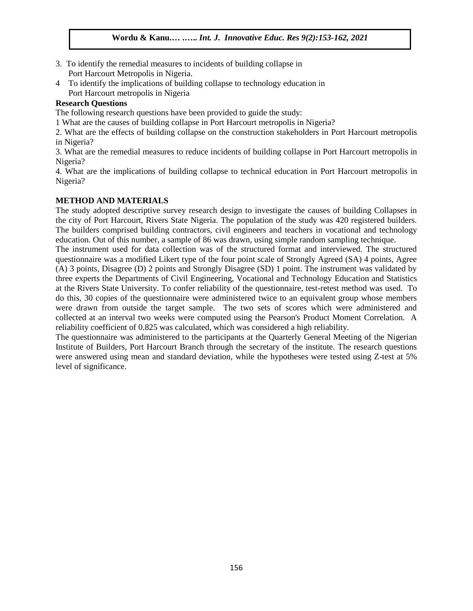- 3. To identify the remedial measures to incidents of building collapse in Port Harcourt Metropolis in Nigeria.
- 4 To identify the implications of building collapse to technology education in Port Harcourt metropolis in Nigeria

## **Research Questions**

The following research questions have been provided to guide the study:

1 What are the causes of building collapse in Port Harcourt metropolis in Nigeria?

2. What are the effects of building collapse on the construction stakeholders in Port Harcourt metropolis in Nigeria?

3. What are the remedial measures to reduce incidents of building collapse in Port Harcourt metropolis in Nigeria?

4. What are the implications of building collapse to technical education in Port Harcourt metropolis in Nigeria?

# **METHOD AND MATERIALS**

The study adopted descriptive survey research design to investigate the causes of building Collapses in the city of Port Harcourt, Rivers State Nigeria. The population of the study was 420 registered builders. The builders comprised building contractors, civil engineers and teachers in vocational and technology education. Out of this number, a sample of 86 was drawn, using simple random sampling technique.

The instrument used for data collection was of the structured format and interviewed. The structured questionnaire was a modified Likert type of the four point scale of Strongly Agreed (SA) 4 points, Agree (A) 3 points, Disagree (D) 2 points and Strongly Disagree (SD) 1 point. The instrument was validated by three experts the Departments of Civil Engineering, Vocational and Technology Education and Statistics at the Rivers State University. To confer reliability of the questionnaire, test-retest method was used. To do this, 30 copies of the questionnaire were administered twice to an equivalent group whose members were drawn from outside the target sample. The two sets of scores which were administered and collected at an interval two weeks were computed using the Pearson's Product Moment Correlation. A reliability coefficient of 0.825 was calculated, which was considered a high reliability.

The questionnaire was administered to the participants at the Quarterly General Meeting of the Nigerian Institute of Builders, Port Harcourt Branch through the secretary of the institute. The research questions were answered using mean and standard deviation, while the hypotheses were tested using Z-test at 5% level of significance.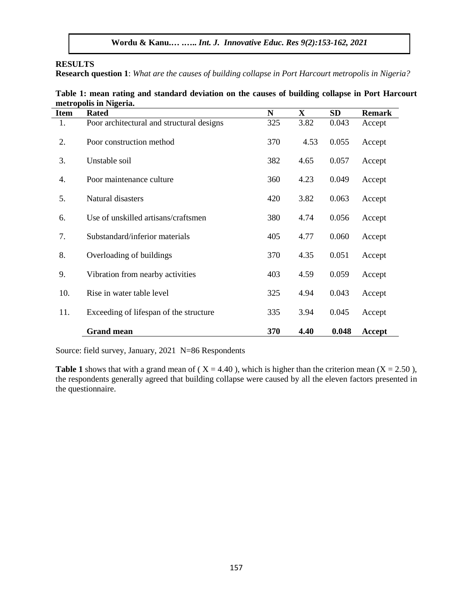#### **RESULTS**

**Research question 1**: *What are the causes of building collapse in Port Harcourt metropolis in Nigeria?*

| Table 1: mean rating and standard deviation on the causes of building collapse in Port Harcourt |  |  |
|-------------------------------------------------------------------------------------------------|--|--|
| metropolis in Nigeria.                                                                          |  |  |

| <b>Item</b> | <b>Rated</b>                              | $\mathbf N$ | X    | SD    | <b>Remark</b> |
|-------------|-------------------------------------------|-------------|------|-------|---------------|
| 1.          | Poor architectural and structural designs | 325         | 3.82 | 0.043 | Accept        |
| 2.          | Poor construction method                  | 370         | 4.53 | 0.055 | Accept        |
| 3.          | Unstable soil                             | 382         | 4.65 | 0.057 | Accept        |
| 4.          | Poor maintenance culture                  | 360         | 4.23 | 0.049 | Accept        |
| 5.          | Natural disasters                         | 420         | 3.82 | 0.063 | Accept        |
| 6.          | Use of unskilled artisans/craftsmen       | 380         | 4.74 | 0.056 | Accept        |
| 7.          | Substandard/inferior materials            | 405         | 4.77 | 0.060 | Accept        |
| 8.          | Overloading of buildings                  | 370         | 4.35 | 0.051 | Accept        |
| 9.          | Vibration from nearby activities          | 403         | 4.59 | 0.059 | Accept        |
| 10.         | Rise in water table level                 | 325         | 4.94 | 0.043 | Accept        |
| 11.         | Exceeding of lifespan of the structure    | 335         | 3.94 | 0.045 | Accept        |
|             | <b>Grand mean</b>                         | 370         | 4.40 | 0.048 | Accept        |

Source: field survey, January, 2021 N=86 Respondents

**Table 1** shows that with a grand mean of ( $X = 4.40$ ), which is higher than the criterion mean ( $X = 2.50$ ), the respondents generally agreed that building collapse were caused by all the eleven factors presented in the questionnaire.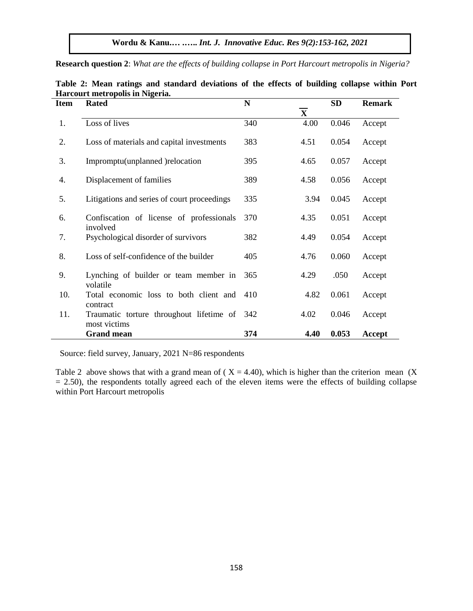**Research question 2**: *What are the effects of building collapse in Port Harcourt metropolis in Nigeria?*

| <b>Item</b> | <b>Rated</b>                                             | $\mathbf N$ | $\overline{\mathbf{X}}$ | SD    | <b>Remark</b> |
|-------------|----------------------------------------------------------|-------------|-------------------------|-------|---------------|
| 1.          | Loss of lives                                            | 340         | 4.00                    | 0.046 | Accept        |
| 2.          | Loss of materials and capital investments                | 383         | 4.51                    | 0.054 | Accept        |
| 3.          | Impromptu(unplanned) relocation                          | 395         | 4.65                    | 0.057 | Accept        |
| 4.          | Displacement of families                                 | 389         | 4.58                    | 0.056 | Accept        |
| 5.          | Litigations and series of court proceedings              | 335         | 3.94                    | 0.045 | Accept        |
| 6.          | Confiscation of license of professionals<br>involved     | 370         | 4.35                    | 0.051 | Accept        |
| 7.          | Psychological disorder of survivors                      | 382         | 4.49                    | 0.054 | Accept        |
| 8.          | Loss of self-confidence of the builder                   | 405         | 4.76                    | 0.060 | Accept        |
| 9.          | Lynching of builder or team member in<br>volatile        | 365         | 4.29                    | .050  | Accept        |
| 10.         | Total economic loss to both client and<br>contract       | 410         | 4.82                    | 0.061 | Accept        |
| 11.         | Traumatic torture throughout lifetime of<br>most victims | 342         | 4.02                    | 0.046 | Accept        |
|             | <b>Grand mean</b>                                        | 374         | 4.40                    | 0.053 | Accept        |

**Table 2: Mean ratings and standard deviations of the effects of building collapse within Port Harcourt metropolis in Nigeria.**

Source: field survey, January, 2021 N=86 respondents

Table 2 above shows that with a grand mean of ( $X = 4.40$ ), which is higher than the criterion mean (X)  $= 2.50$ ), the respondents totally agreed each of the eleven items were the effects of building collapse within Port Harcourt metropolis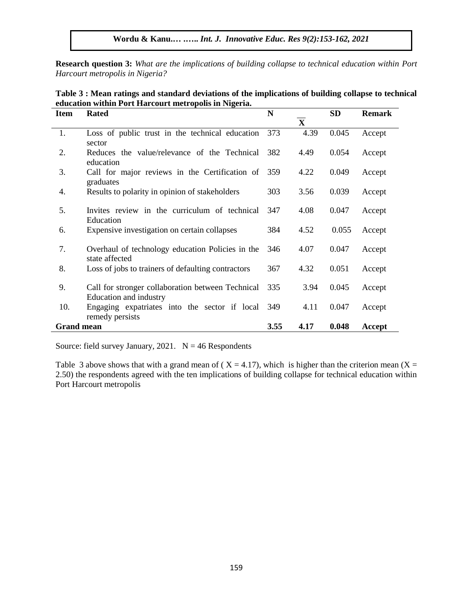**Research question 3:** *What are the implications of building collapse to technical education within Port Harcourt metropolis in Nigeria?*

| <b>Item</b>       | <b>Rated</b>                                                                | N    |             | <b>SD</b> | <b>Remark</b> |
|-------------------|-----------------------------------------------------------------------------|------|-------------|-----------|---------------|
|                   |                                                                             |      | $\mathbf X$ |           |               |
| 1.                | Loss of public trust in the technical education<br>sector                   | 373  | 4.39        | 0.045     | Accept        |
| 2.                | Reduces the value/relevance of the Technical<br>education                   | 382  | 4.49        | 0.054     | Accept        |
| 3.                | Call for major reviews in the Certification of 359<br>graduates             |      | 4.22        | 0.049     | Accept        |
| 4.                | Results to polarity in opinion of stakeholders                              | 303  | 3.56        | 0.039     | Accept        |
| 5.                | Invites review in the curriculum of technical<br>Education                  | 347  | 4.08        | 0.047     | Accept        |
| 6.                | Expensive investigation on certain collapses                                | 384  | 4.52        | 0.055     | Accept        |
| 7.                | Overhaul of technology education Policies in the<br>state affected          | 346  | 4.07        | 0.047     | Accept        |
| 8.                | Loss of jobs to trainers of defaulting contractors                          | 367  | 4.32        | 0.051     | Accept        |
| 9.                | Call for stronger collaboration between Technical<br>Education and industry | 335  | 3.94        | 0.045     | Accept        |
| 10.               | Engaging expatriates into the sector if local<br>remedy persists            | 349  | 4.11        | 0.047     | Accept        |
| <b>Grand mean</b> |                                                                             | 3.55 | 4.17        | 0.048     | Accept        |

**Table 3 : Mean ratings and standard deviations of the implications of building collapse to technical education within Port Harcourt metropolis in Nigeria.** 

Source: field survey January, 2021.  $N = 46$  Respondents

Table 3 above shows that with a grand mean of ( $X = 4.17$ ), which is higher than the criterion mean ( $X =$ 2.50) the respondents agreed with the ten implications of building collapse for technical education within Port Harcourt metropolis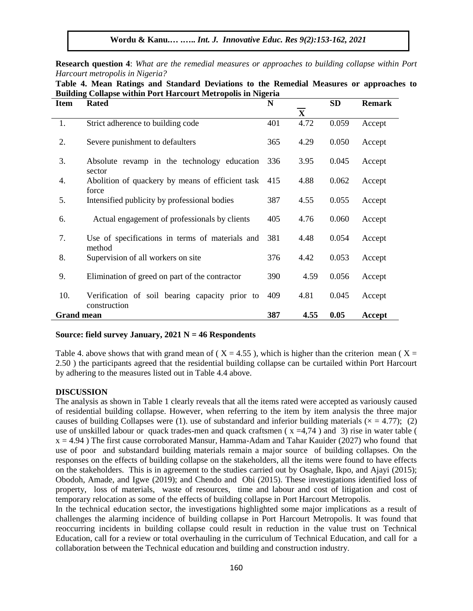**Research question 4**: *What are the remedial measures or approaches to building collapse within Port Harcourt metropolis in Nigeria?*

| <b>Building Collapse within Port Harcourt Metropolis in Nigeria</b> |                                                                |     |                         |           |               |
|---------------------------------------------------------------------|----------------------------------------------------------------|-----|-------------------------|-----------|---------------|
| <b>Item</b>                                                         | <b>Rated</b>                                                   | N   |                         | <b>SD</b> | <b>Remark</b> |
|                                                                     |                                                                |     | $\overline{\mathbf{X}}$ |           |               |
| 1.                                                                  | Strict adherence to building code                              | 401 | 4.72                    | 0.059     | Accept        |
| 2.                                                                  | Severe punishment to defaulters                                | 365 | 4.29                    | 0.050     | Accept        |
| 3.                                                                  | Absolute revamp in the technology education<br>sector          | 336 | 3.95                    | 0.045     | Accept        |
| 4.                                                                  | Abolition of quackery by means of efficient task<br>force      | 415 | 4.88                    | 0.062     | Accept        |
| 5.                                                                  | Intensified publicity by professional bodies                   | 387 | 4.55                    | 0.055     | Accept        |
| 6.                                                                  | Actual engagement of professionals by clients                  | 405 | 4.76                    | 0.060     | Accept        |
| 7.                                                                  | Use of specifications in terms of materials and<br>method      | 381 | 4.48                    | 0.054     | Accept        |
| 8.                                                                  | Supervision of all workers on site                             | 376 | 4.42                    | 0.053     | Accept        |
| 9.                                                                  | Elimination of greed on part of the contractor                 | 390 | 4.59                    | 0.056     | Accept        |
| 10.                                                                 | Verification of soil bearing capacity prior to<br>construction | 409 | 4.81                    | 0.045     | Accept        |
| <b>Grand mean</b>                                                   |                                                                |     | 4.55                    | 0.05      | Accept        |

**Table 4. Mean Ratings and Standard Deviations to the Remedial Measures or approaches to Building Collapse within Port Harcourt Metropolis in Nigeria**

#### **Source: field survey January, 2021 N = 46 Respondents**

Table 4. above shows that with grand mean of ( $X = 4.55$ ), which is higher than the criterion mean ( $X =$ 2.50 ) the participants agreed that the residential building collapse can be curtailed within Port Harcourt by adhering to the measures listed out in Table 4.4 above.

#### **DISCUSSION**

The analysis as shown in Table 1 clearly reveals that all the items rated were accepted as variously caused of residential building collapse. However, when referring to the item by item analysis the three major causes of building Collapses were (1). use of substandard and inferior building materials ( $\times$  = 4.77); (2) use of unskilled labour or quack trades-men and quack craftsmen ( $x = 4.74$ ) and 3) rise in water table (  $x = 4.94$ ) The first cause corroborated Mansur, Hamma-Adam and Tahar Kauider (2027) who found that use of poor and substandard building materials remain a major source of building collapses. On the responses on the effects of building collapse on the stakeholders, all the items were found to have effects on the stakeholders. This is in agreement to the studies carried out by Osaghale, Ikpo, and Ajayi (2015); Obodoh, Amade, and Igwe (2019); and Chendo and Obi (2015). These investigations identified loss of property, loss of materials, waste of resources, time and labour and cost of litigation and cost of temporary relocation as some of the effects of building collapse in Port Harcourt Metropolis.

In the technical education sector, the investigations highlighted some major implications as a result of challenges the alarming incidence of building collapse in Port Harcourt Metropolis. It was found that reoccurring incidents in building collapse could result in reduction in the value trust on Technical Education, call for a review or total overhauling in the curriculum of Technical Education, and call for a collaboration between the Technical education and building and construction industry.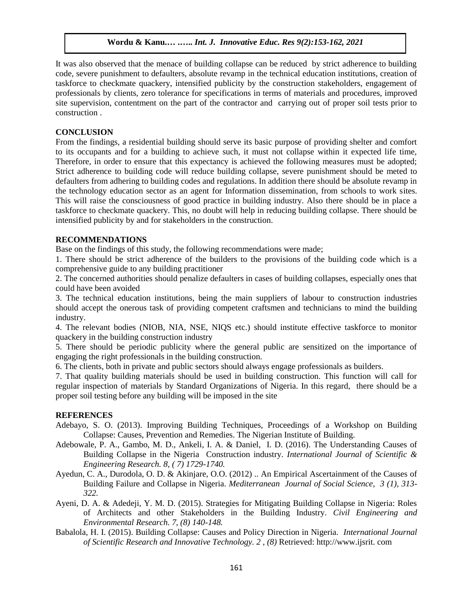It was also observed that the menace of building collapse can be reduced by strict adherence to building code, severe punishment to defaulters, absolute revamp in the technical education institutions, creation of taskforce to checkmate quackery, intensified publicity by the construction stakeholders, engagement of professionals by clients, zero tolerance for specifications in terms of materials and procedures, improved site supervision, contentment on the part of the contractor and carrying out of proper soil tests prior to construction .

#### **CONCLUSION**

From the findings, a residential building should serve its basic purpose of providing shelter and comfort to its occupants and for a building to achieve such, it must not collapse within it expected life time, Therefore, in order to ensure that this expectancy is achieved the following measures must be adopted; Strict adherence to building code will reduce building collapse, severe punishment should be meted to defaulters from adhering to building codes and regulations. In addition there should be absolute revamp in the technology education sector as an agent for Information dissemination, from schools to work sites. This will raise the consciousness of good practice in building industry. Also there should be in place a taskforce to checkmate quackery. This, no doubt will help in reducing building collapse. There should be intensified publicity by and for stakeholders in the construction.

#### **RECOMMENDATIONS**

Base on the findings of this study, the following recommendations were made;

1. There should be strict adherence of the builders to the provisions of the building code which is a comprehensive guide to any building practitioner

2. The concerned authorities should penalize defaulters in cases of building collapses, especially ones that could have been avoided

3. The technical education institutions, being the main suppliers of labour to construction industries should accept the onerous task of providing competent craftsmen and technicians to mind the building industry.

4. The relevant bodies (NIOB, NIA, NSE, NIQS etc.) should institute effective taskforce to monitor quackery in the building construction industry

5. There should be periodic publicity where the general public are sensitized on the importance of engaging the right professionals in the building construction.

6. The clients, both in private and public sectors should always engage professionals as builders.

7. That quality building materials should be used in building construction. This function will call for regular inspection of materials by Standard Organizations of Nigeria. In this regard, there should be a proper soil testing before any building will be imposed in the site

#### **REFERENCES**

- Adebayo, S. O. (2013). Improving Building Techniques, Proceedings of a Workshop on Building Collapse: Causes, Prevention and Remedies. The Nigerian Institute of Building.
- Adebowale, P. A., Gambo, M. D., Ankeli, I. A. & Daniel, I. D. (2016). The Understanding Causes of Building Collapse in the Nigeria Construction industry. *International Journal of Scientific & Engineering Research. 8, ( 7) 1729-1740.*
- Ayedun, C. A., Durodola, O. D. & Akinjare, O.O. (2012) .. An Empirical Ascertainment of the Causes of Building Failure and Collapse in Nigeria. *Mediterranean Journal of Social Science, 3 (1), 313- 322.*
- Ayeni, D. A. & Adedeji, Y. M. D. (2015). Strategies for Mitigating Building Collapse in Nigeria: Roles of Architects and other Stakeholders in the Building Industry. *Civil Engineering and Environmental Research. 7, (8) 140-148.*
- Babalola, H. I. (2015). Building Collapse: Causes and Policy Direction in Nigeria. *International Journal of Scientific Research and Innovative Technology. 2 , (8)* Retrieved: http://www.ijsrit. com